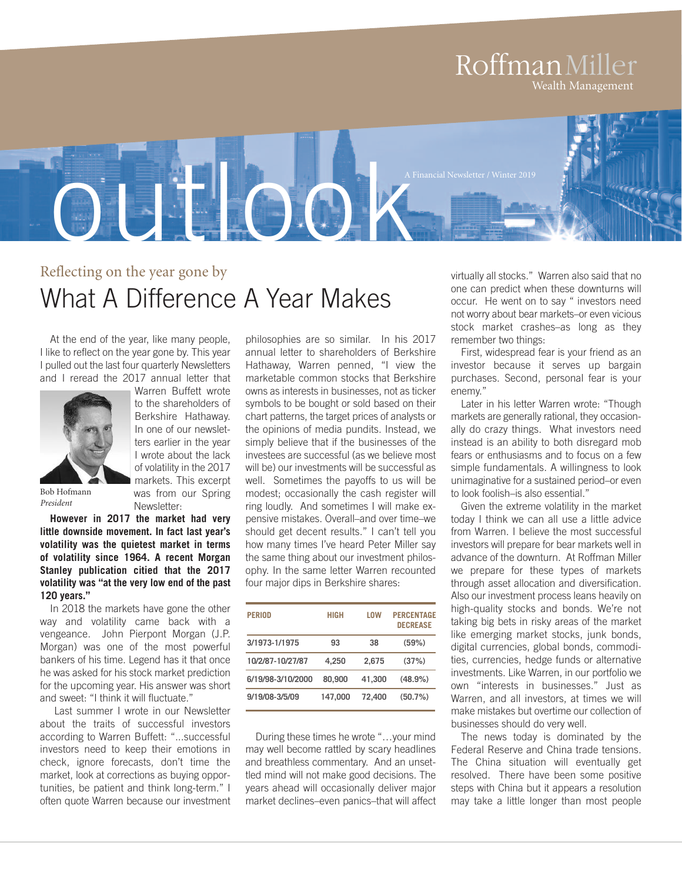### RoffmanMiller Wealth Management



# Reflecting on the year gone by What A Difference A Year Makes

At the end of the year, like many people, I like to reflect on the year gone by. This year I pulled out the last four quarterly Newsletters and I reread the 2017 annual letter that



Warren Buffett wrote to the shareholders of Berkshire Hathaway. In one of our newsletters earlier in the year I wrote about the lack of volatility in the 2017 markets. This excerpt was from our Spring Newsletter:

Bob Hofmann *President*

**However in 2017 the market had very little downside movement. In fact last year's volatility was the quietest market in terms of volatility since 1964. A recent Morgan Stanley publication citied that the 2017 volatility was "at the very low end of the past 120 years."**

In 2018 the markets have gone the other way and volatility came back with a vengeance. John Pierpont Morgan (J.P. Morgan) was one of the most powerful bankers of his time. Legend has it that once he was asked for his stock market prediction for the upcoming year. His answer was short and sweet: "I think it will fluctuate."

Last summer I wrote in our Newsletter about the traits of successful investors according to Warren Buffett: "...successful investors need to keep their emotions in check, ignore forecasts, don't time the market, look at corrections as buying opportunities, be patient and think long-term." I often quote Warren because our investment

philosophies are so similar. In his 2017 annual letter to shareholders of Berkshire Hathaway, Warren penned, "I view the marketable common stocks that Berkshire owns as interests in businesses, not as ticker symbols to be bought or sold based on their chart patterns, the target prices of analysts or the opinions of media pundits. Instead, we simply believe that if the businesses of the investees are successful (as we believe most will be) our investments will be successful as well. Sometimes the payoffs to us will be modest; occasionally the cash register will ring loudly. And sometimes I will make expensive mistakes. Overall–and over time–we should get decent results." I can't tell you how many times I've heard Peter Miller say the same thing about our investment philosophy. In the same letter Warren recounted four major dips in Berkshire shares:

| <b>PERIOD</b>     | <b>HIGH</b> | LOW    | <b>PERCENTAGE</b><br><b>DECREASE</b> |
|-------------------|-------------|--------|--------------------------------------|
| 3/1973-1/1975     | 93          | 38     | (59%)                                |
| 10/2/87-10/27/87  | 4.250       | 2.675  | (37%)                                |
| 6/19/98-3/10/2000 | 80,900      | 41.300 | (48.9%)                              |
| 9/19/08-3/5/09    | 147.000     | 72.400 | (50.7%)                              |

During these times he wrote "…your mind may well become rattled by scary headlines and breathless commentary. And an unsettled mind will not make good decisions. The years ahead will occasionally deliver major market declines–even panics–that will affect

virtually all stocks." Warren also said that no one can predict when these downturns will occur. He went on to say " investors need not worry about bear markets–or even vicious stock market crashes–as long as they remember two things:

First, widespread fear is your friend as an investor because it serves up bargain purchases. Second, personal fear is your enemy."

Later in his letter Warren wrote: "Though markets are generally rational, they occasionally do crazy things. What investors need instead is an ability to both disregard mob fears or enthusiasms and to focus on a few simple fundamentals. A willingness to look unimaginative for a sustained period–or even to look foolish–is also essential."

Given the extreme volatility in the market today I think we can all use a little advice from Warren. I believe the most successful investors will prepare for bear markets well in advance of the downturn. At Roffman Miller we prepare for these types of markets through asset allocation and diversification. Also our investment process leans heavily on high-quality stocks and bonds. We're not taking big bets in risky areas of the market like emerging market stocks, junk bonds, digital currencies, global bonds, commodities, currencies, hedge funds or alternative investments. Like Warren, in our portfolio we own "interests in businesses." Just as Warren, and all investors, at times we will make mistakes but overtime our collection of businesses should do very well.

The news today is dominated by the Federal Reserve and China trade tensions. The China situation will eventually get resolved. There have been some positive steps with China but it appears a resolution may take a little longer than most people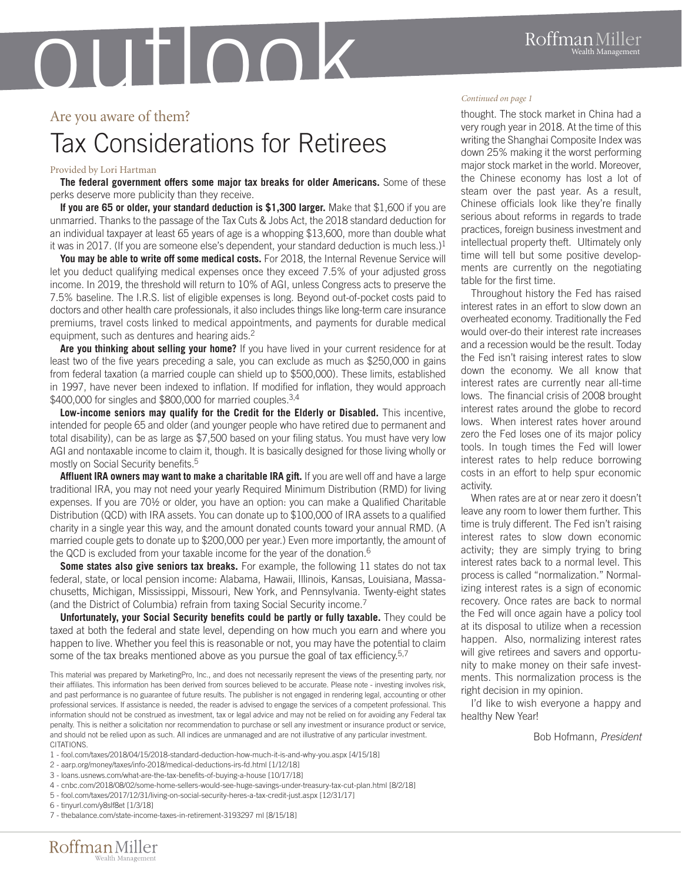# outlook

#### Are you aware of them?

# Tax Considerations for Retirees

#### Provided by Lori Hartman

**The federal government offers some major tax breaks for older Americans.** Some of these perks deserve more publicity than they receive.

**If you are 65 or older, your standard deduction is \$1,300 larger.** Make that \$1,600 if you are unmarried. Thanks to the passage of the Tax Cuts & Jobs Act, the 2018 standard deduction for an individual taxpayer at least 65 years of age is a whopping \$13,600, more than double what it was in 2017. (If you are someone else's dependent, your standard deduction is much less.)<sup>1</sup>

**You may be able to write off some medical costs.** For 2018, the Internal Revenue Service will let you deduct qualifying medical expenses once they exceed 7.5% of your adjusted gross income. In 2019, the threshold will return to 10% of AGI, unless Congress acts to preserve the 7.5% baseline. The I.R.S. list of eligible expenses is long. Beyond out-of-pocket costs paid to doctors and other health care professionals, it also includes things like long-term care insurance premiums, travel costs linked to medical appointments, and payments for durable medical equipment, such as dentures and hearing aids.<sup>2</sup>

**Are you thinking about selling your home?** If you have lived in your current residence for at least two of the five years preceding a sale, you can exclude as much as \$250,000 in gains from federal taxation (a married couple can shield up to \$500,000). These limits, established in 1997, have never been indexed to inflation. If modified for inflation, they would approach \$400,000 for singles and \$800,000 for married couples.<sup>3,4</sup>

**Low-income seniors may qualify for the Credit for the Elderly or Disabled.** This incentive, intended for people 65 and older (and younger people who have retired due to permanent and total disability), can be as large as \$7,500 based on your filing status. You must have very low AGI and nontaxable income to claim it, though. It is basically designed for those living wholly or mostly on Social Security benefits. 5

**Affluent IRA owners may want to make a charitable IRA gift.** If you are well off and have a large traditional IRA, you may not need your yearly Required Minimum Distribution (RMD) for living expenses. If you are 70½ or older, you have an option: you can make a Qualified Charitable Distribution (QCD) with IRA assets. You can donate up to \$100,000 of IRA assets to a qualified charity in a single year this way, and the amount donated counts toward your annual RMD. (A married couple gets to donate up to \$200,000 per year.) Even more importantly, the amount of the QCD is excluded from your taxable income for the year of the donation.<sup>6</sup>

**Some states also give seniors tax breaks.** For example, the following 11 states do not tax federal, state, or local pension income: Alabama, Hawaii, Illinois, Kansas, Louisiana, Massachusetts, Michigan, Mississippi, Missouri, New York, and Pennsylvania. Twenty-eight states (and the District of Columbia) refrain from taxing Social Security income.<sup>7</sup>

**Unfortunately, your Social Security benefits could be partly or fully taxable.** They could be taxed at both the federal and state level, depending on how much you earn and where you happen to live. Whether you feel this is reasonable or not, you may have the potential to claim some of the tax breaks mentioned above as you pursue the goal of tax efficiency.<sup>5,7</sup>

This material was prepared by MarketingPro, Inc., and does not necessarily represent the views of the presenting party, nor their affiliates. This information has been derived from sources believed to be accurate. Please note - investing involves risk, and past performance is no guarantee of future results. The publisher is not engaged in rendering legal, accounting or other professional services. If assistance is needed, the reader is advised to engage the services of a competent professional. This information should not be construed as investment, tax or legal advice and may not be relied on for avoiding any Federal tax penalty. This is neither a solicitation nor recommendation to purchase or sell any investment or insurance product or service, and should not be relied upon as such. All indices are unmanaged and are not illustrative of any particular investment. **CITATIONS** 

1 - fool.com/taxes/2018/04/15/2018-standard-deduction-how-much-it-is-and-why-you.aspx [4/15/18]

- 3 loans.usnews.com/what-are-the-tax-benefits-of-buying-a-house [10/17/18]
- 4 cnbc.com/2018/08/02/some-home-sellers-would-see-huge-savings-under-treasury-tax-cut-plan.html [8/2/18]
- 5 fool.com/taxes/2017/12/31/living-on-social-security-heres-a-tax-credit-just.aspx [12/31/17]
- 6 tinyurl.com/y8slf8et [1/3/18]

7 - thebalance.com/state-income-taxes-in-retirement-3193297 ml [8/15/18]

#### *Continued on page 1*

thought. The stock market in China had a very rough year in 2018. At the time of this writing the Shanghai Composite Index was down 25% making it the worst performing major stock market in the world. Moreover, the Chinese economy has lost a lot of steam over the past year. As a result, Chinese officials look like they're finally serious about reforms in regards to trade practices, foreign business investment and intellectual property theft. Ultimately only time will tell but some positive developments are currently on the negotiating table for the first time.

Throughout history the Fed has raised interest rates in an effort to slow down an overheated economy. Traditionally the Fed would over-do their interest rate increases and a recession would be the result. Today the Fed isn't raising interest rates to slow down the economy. We all know that interest rates are currently near all-time lows. The financial crisis of 2008 brought interest rates around the globe to record lows. When interest rates hover around zero the Fed loses one of its major policy tools. In tough times the Fed will lower interest rates to help reduce borrowing costs in an effort to help spur economic activity.

When rates are at or near zero it doesn't leave any room to lower them further. This time is truly different. The Fed isn't raising interest rates to slow down economic activity; they are simply trying to bring interest rates back to a normal level. This process is called "normalization." Normalizing interest rates is a sign of economic recovery. Once rates are back to normal the Fed will once again have a policy tool at its disposal to utilize when a recession happen. Also, normalizing interest rates will give retirees and savers and opportunity to make money on their safe investments. This normalization process is the right decision in my opinion.

I'd like to wish everyone a happy and healthy New Year!

Bob Hofmann, *President*

Roffman Miller

<sup>2</sup> - aarp.org/money/taxes/info-2018/medical-deductions-irs-fd.html [1/12/18]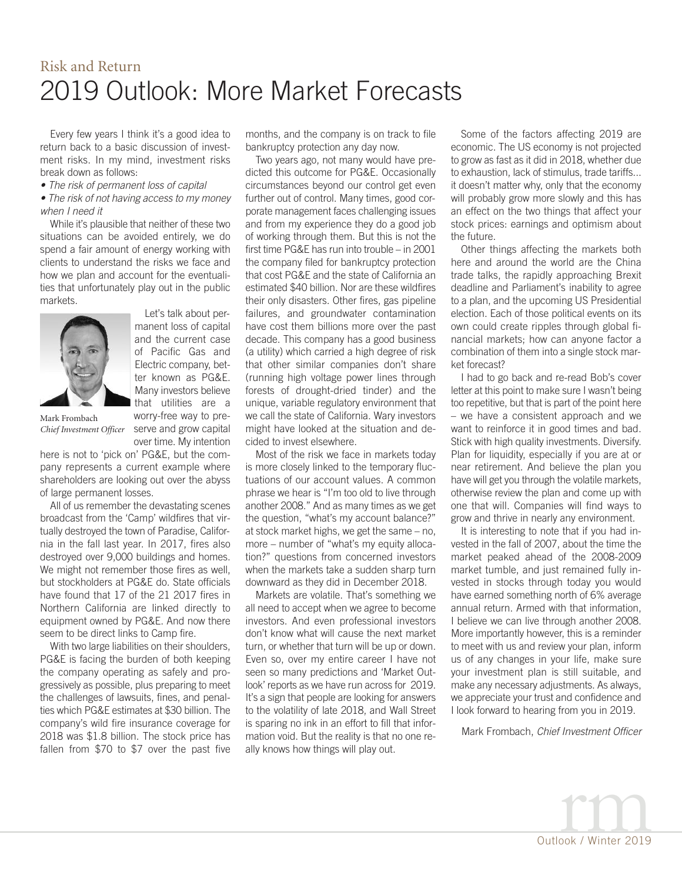# Risk and Return 2019 Outlook: More Market Forecasts

Every few years I think it's a good idea to return back to a basic discussion of investment risks. In my mind, investment risks break down as follows:

*• The risk of permanent loss of capital*

#### *• The risk of not having access to my money when I need it*

While it's plausible that neither of these two situations can be avoided entirely, we do spend a fair amount of energy working with clients to understand the risks we face and how we plan and account for the eventualities that unfortunately play out in the public markets.



Let's talk about permanent loss of capital and the current case of Pacific Gas and Electric company, better known as PG&E. Many investors believe that utilities are a worry-free way to preserve and grow capital

over time. My intention

Mark Frombach *Chief Investment Officer*

here is not to 'pick on' PG&E, but the company represents a current example where shareholders are looking out over the abyss of large permanent losses.

All of us remember the devastating scenes broadcast from the 'Camp' wildfires that virtually destroyed the town of Paradise, California in the fall last year. In 2017, fires also destroyed over 9,000 buildings and homes. We might not remember those fires as well, but stockholders at PG&E do. State officials have found that 17 of the 21 2017 fires in Northern California are linked directly to equipment owned by PG&E. And now there seem to be direct links to Camp fire.

With two large liabilities on their shoulders, PG&E is facing the burden of both keeping the company operating as safely and progressively as possible, plus preparing to meet the challenges of lawsuits, fines, and penalties which PG&E estimates at \$30 billion. The company's wild fire insurance coverage for 2018 was \$1.8 billion. The stock price has fallen from \$70 to \$7 over the past five months, and the company is on track to file bankruptcy protection any day now.

Two years ago, not many would have predicted this outcome for PG&E. Occasionally circumstances beyond our control get even further out of control. Many times, good corporate management faces challenging issues and from my experience they do a good job of working through them. But this is not the first time PG&E has run into trouble – in 2001 the company filed for bankruptcy protection that cost PG&E and the state of California an estimated \$40 billion. Nor are these wildfires their only disasters. Other fires, gas pipeline failures, and groundwater contamination have cost them billions more over the past decade. This company has a good business (a utility) which carried a high degree of risk that other similar companies don't share (running high voltage power lines through forests of drought-dried tinder) and the unique, variable regulatory environment that we call the state of California. Wary investors might have looked at the situation and decided to invest elsewhere.

Most of the risk we face in markets today is more closely linked to the temporary fluctuations of our account values. A common phrase we hear is "I'm too old to live through another 2008." And as many times as we get the question, "what's my account balance?" at stock market highs, we get the same – no, more – number of "what's my equity allocation?" questions from concerned investors when the markets take a sudden sharp turn downward as they did in December 2018.

Markets are volatile. That's something we all need to accept when we agree to become investors. And even professional investors don't know what will cause the next market turn, or whether that turn will be up or down. Even so, over my entire career I have not seen so many predictions and 'Market Outlook' reports as we have run across for 2019. It's a sign that people are looking for answers to the volatility of late 2018, and Wall Street is sparing no ink in an effort to fill that information void. But the reality is that no one really knows how things will play out.

Some of the factors affecting 2019 are economic. The US economy is not projected to grow as fast as it did in 2018, whether due to exhaustion, lack of stimulus, trade tariffs... it doesn't matter why, only that the economy will probably grow more slowly and this has an effect on the two things that affect your stock prices: earnings and optimism about the future.

Other things affecting the markets both here and around the world are the China trade talks, the rapidly approaching Brexit deadline and Parliament's inability to agree to a plan, and the upcoming US Presidential election. Each of those political events on its own could create ripples through global financial markets; how can anyone factor a combination of them into a single stock market forecast?

I had to go back and re-read Bob's cover letter at this point to make sure I wasn't being too repetitive, but that is part of the point here – we have a consistent approach and we want to reinforce it in good times and bad. Stick with high quality investments. Diversify. Plan for liquidity, especially if you are at or near retirement. And believe the plan you have will get you through the volatile markets, otherwise review the plan and come up with one that will. Companies will find ways to grow and thrive in nearly any environment.

It is interesting to note that if you had invested in the fall of 2007, about the time the market peaked ahead of the 2008-2009 market tumble, and just remained fully invested in stocks through today you would have earned something north of 6% average annual return. Armed with that information, I believe we can live through another 2008. More importantly however, this is a reminder to meet with us and review your plan, inform us of any changes in your life, make sure your investment plan is still suitable, and make any necessary adjustments. As always, we appreciate your trust and confidence and I look forward to hearing from you in 2019.

Mark Frombach, *Chief Investment Officer*